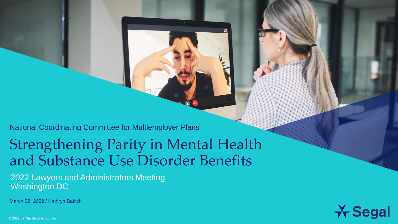National Coordinating Committee for Multiemployer Plans

### Strengthening Parity in Mental Health and Substance Use Disorder Benefits

2022 Lawyers and Administrators Meeting Washington DC

March 22, 2022 / Kathryn Bakich



© 2022 by The Segal Group, Inc.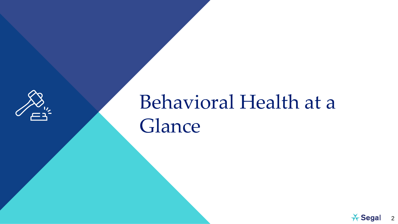

# Behavioral Health at a Glance

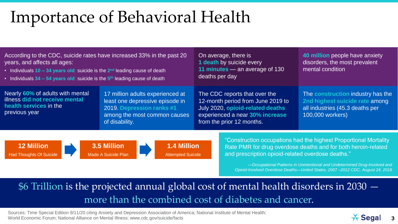### Importance of Behavioral Health

| According to the CDC, suicide rates have increased 33% in the past 20<br>years, and affects all ages:<br>• Individuals $10 - 34$ years old: suicide is the $2nd$ leading cause of death<br>• Individuals $34 - 54$ years old: suicide is the $5th$ leading cause of death                                                                                                                                           |                                                                                                                                                    | On average, there is<br>1 death by suicide every<br>11 minutes – an average of 130<br>deaths per day                                                                   | 40 million people have anxiety<br>disorders, the most prevalent<br>mental condition                                        |
|---------------------------------------------------------------------------------------------------------------------------------------------------------------------------------------------------------------------------------------------------------------------------------------------------------------------------------------------------------------------------------------------------------------------|----------------------------------------------------------------------------------------------------------------------------------------------------|------------------------------------------------------------------------------------------------------------------------------------------------------------------------|----------------------------------------------------------------------------------------------------------------------------|
| Nearly 60% of adults with mental<br>illness did not receive mental<br>health services in the<br>previous year                                                                                                                                                                                                                                                                                                       | 17 million adults experienced at<br>least one depressive episode in<br>2019. Depression ranks #1<br>among the most common causes<br>of disability. | The CDC reports that over the<br>12-month period from June 2019 to<br>July 2020, opioid-related deaths<br>experienced a near 30% increase<br>from the prior 12 months. | The construction industry has the<br>2nd highest suicide rate among<br>all industries (45.3 deaths per<br>100,000 workers) |
| "Construction occupations had the highest Proportional Mortality<br>3.5 Million<br><b>12 Million</b><br><b>1.4 Million</b><br>Rate PMR for drug overdose deaths and for both heroin-related<br>and prescription opioid-related overdose deaths."<br><b>Attempted Suicide</b><br><b>Had Thoughts Of Suicide</b><br>Made A Suicide Plan<br>-Occupational Patterns in Unintentional and Undetermined Drug-Involved and |                                                                                                                                                    |                                                                                                                                                                        |                                                                                                                            |

\$6 Trillion is the projected annual global cost of mental health disorders in 2030 more than the combined cost of diabetes and cancer.

Sources: Time Special Edition 9/11/20 citing Anxiety and Depression Association of America; National Institute of Mental Health; World Economic Forum; National Alliance on Mental Illness; www.cdc.gov/suicide/facts



*Opioid-Involved Overdose Deaths—United States, 2007 –2012 CDC, August 24, 2018*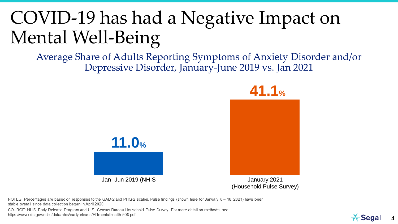### COVID-19 has had a Negative Impact on Mental Well-Being

Average Share of Adults Reporting Symptoms of Anxiety Disorder and/or Depressive Disorder, January-June 2019 vs. Jan 2021



Jan- Jun 2019 (NHIS January 2021 (Household Pulse Survey)

NOTES: Percentages are based on responses to the GAD-2 and PHQ-2 scales. Pulse findings (shown here for January 6 - 18, 2021) have been stable overall since data collection began in April 2020.

SOURCE: NHIS Early Release Program and U.S. Census Bureau Household Pulse Survey. For more detail on methods, see: https://www.cdc.gov/nchs/data/nhis/earlyrelease/ERmentalhealth-508.pdf

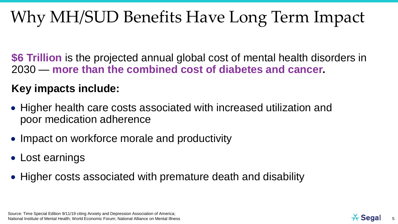### Why MH/SUD Benefits Have Long Term Impact

**\$6 Trillion** is the projected annual global cost of mental health disorders in 2030 — **more than the combined cost of diabetes and cancer.**

### **Key impacts include:**

- Higher health care costs associated with increased utilization and poor medication adherence
- Impact on workforce morale and productivity
- Lost earnings
- Higher costs associated with premature death and disability



5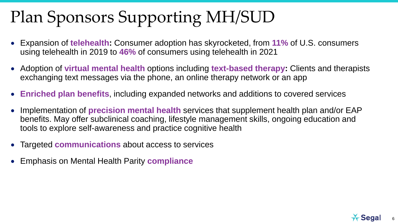### Plan Sponsors Supporting MH/SUD

- Expansion of **telehealth:** Consumer adoption has skyrocketed, from **11%** of U.S. consumers using telehealth in 2019 to **46%** of consumers using telehealth in 2021
- Adoption of **virtual mental health** options including **text-based therapy:** Clients and therapists exchanging text messages via the phone, an online therapy network or an app
- **Enriched plan benefits**, including expanded networks and additions to covered services
- Implementation of **precision mental health** services that supplement health plan and/or EAP benefits. May offer subclinical coaching, lifestyle management skills, ongoing education and tools to explore self-awareness and practice cognitive health
- Targeted **communications** about access to services
- Emphasis on Mental Health Parity **compliance**



6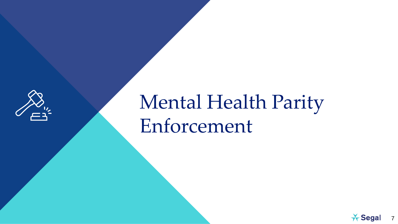

# Mental Health Parity Enforcement

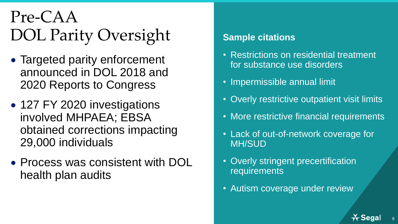### Pre-CAA DOL Parity Oversight

- Targeted parity enforcement announced in DOL 2018 and 2020 Reports to Congress
- 127 FY 2020 investigations involved MHPAEA; EBSA obtained corrections impacting 29,000 individuals
- Process was consistent with DOL health plan audits

### **Sample citations**

- Restrictions on residential treatment for substance use disorders
- Impermissible annual limit
- Overly restrictive outpatient visit limits
- More restrictive financial requirements
- Lack of out-of-network coverage for MH/SUD
- Overly stringent precertification requirements
- Autism coverage under review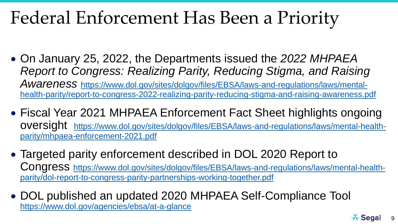### Federal Enforcement Has Been a Priority

- On January 25, 2022, the Departments issued the *2022 MHPAEA Report to Congress: Realizing Parity, Reducing Stigma, and Raising Awareness* https://www.dol.gov/sites/dolgov/files/EBSA/laws-and-regulations/laws/mental[health-parity/report-to-congress-2022-realizing-parity-reducing-stigma-and-raising-awareness.pdf](https://www.dol.gov/sites/dolgov/files/EBSA/laws-and-regulations/laws/mental-health-parity/report-to-congress-2022-realizing-parity-reducing-stigma-and-raising-awareness.pdf)
- Fiscal Year 2021 MHPAEA Enforcement Fact Sheet highlights ongoing oversight [https://www.dol.gov/sites/dolgov/files/EBSA/laws-and-regulations/laws/mental-health](https://www.dol.gov/sites/dolgov/files/EBSA/laws-and-regulations/laws/mental-health-parity/mhpaea-enforcement-2021.pdf)parity/mhpaea-enforcement-2021.pdf
- Targeted parity enforcement described in DOL 2020 Report to Congress [https://www.dol.gov/sites/dolgov/files/EBSA/laws-and-regulations/laws/mental-health](https://www.dol.gov/sites/dolgov/files/EBSA/laws-and-regulations/laws/mental-health-parity/dol-report-to-congress-parity-partnerships-working-together.pdf)parity/dol-report-to-congress-parity-partnerships-working-together.pdf
- DOL published an updated 2020 MHPAEA Self-Compliance Tool <https://www.dol.gov/agencies/ebsa/at-a-glance>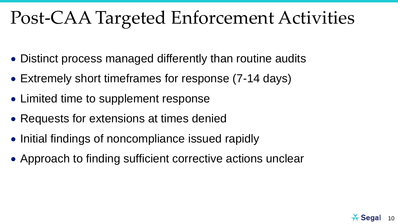### Post-CAA Targeted Enforcement Activities

- Distinct process managed differently than routine audits
- Extremely short timeframes for response (7-14 days)
- Limited time to supplement response
- Requests for extensions at times denied
- Initial findings of noncompliance issued rapidly
- Approach to finding sufficient corrective actions unclear

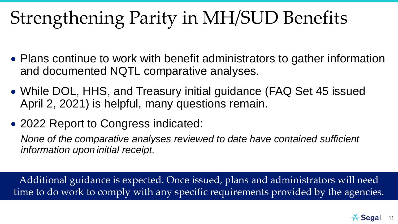## Strengthening Parity in MH/SUD Benefits

- Plans continue to work with benefit administrators to gather information and documented NQTL comparative analyses.
- While DOL, HHS, and Treasury initial guidance (FAQ Set 45 issued April 2, 2021) is helpful, many questions remain.
- 2022 Report to Congress indicated:

*None of the comparative analyses reviewed to date have contained sufficient information upon initial receipt.* 

Additional guidance is expected. Once issued, plans and administrators will need time to do work to comply with any specific requirements provided by the agencies.

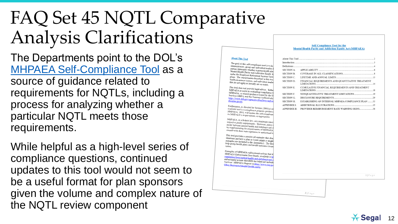### FAQ Set 45 NQTL Comparative Analysis Clarifications

The Departments point to the DOL's MHPAEA Self [-Compliance Tool](https://www.dol.gov/sites/dolgov/files/EBSA/laws-and-regulations/laws/mental-health-parity/self-compliance-tool.pdf) as a source of guidance related to requirements for NQTLs, including a process for analyzing whether a particular NQTL meets those requirements.

While helpful as a high -level series of compliance questions, continued updates to this tool would not seem to be a useful format for plan sponsors given the volume and complex nature of the NQTL review component

### **Mental Health Parity and Addiction Equity Act (MHPAEA) About This Tool** About This Too The goal of this self-compliance tool is to he<br>administrators group such in the stop Introduction administrators, group and individual market l Definitions parties determine whether a group health plat<br>Mental Health Parity and A JU, whealth plat SECTION A. APPLICABILITY Mental Health Parity and Addiction Equity A under the Employee Retirement Income Security A SECTION B. COVERAGE IN ALL CLASSIFICATIONS plans. The requirements described in this tool<br>health insurance issues SECTION C. LIFETIME AND ANNUAL LIMITS health insurance issuers, and individual market<br>that do not apply as health individual market SECTION D. FINANCIAL REQUIREMENTS AND QUANTITATIVE TREATMENT that do not apply as broadly are so noted. LIMITATIONS. This tool does not provide legal advice. Rather SECTION E. CUMULATIVE FINANCIAL REQUIREMENTS AND TREATMENT MHPAEA to assist in evaluating compliance w<br>MHPAEA to assist in evaluating compliance w **LIMITATIONS** MHPAEA, or related guidance issued by the D<br>Services (HHS) and the  $T$ SECTION F. NONQUANTITATIVE TREATMENT LIMITATIONS Services (HHS), and the Treasury (collectively,<br>https://www.dol.gov/gram: https://www.dol.gov/agencies/ebsa/laws-and-redisorder-parity SECTION G. DISCLOSURE REQUIREMENT disorder-parity. SECTION H. ESTABLISHING AN INTERNAL MHPAEA COMPLIANCE **APPENDIX I:** ADDITIONAL ILLUSTRATIONS 35 Furthermore, as directed by Section  $13001(a)$  of available tool is a compliant available tool is a compliance program guidance<br>MHPAEA. DOL will unders the suidance APPENDIX II: PROVIDER REIMBURSEMENT RATE WARNING SIGNS 38 MHPAEA. DOL will update the self-complian<br>on MHPAEA. DOL will update the self-complian on MHPAEA's requirements, as appropriate. MHPAEA, as a federal law, sets minimum stand<br>respect to parity requirements Homeon respect to parity requirements. However, many<br>parity between mental health and parity between parity between mental health and substance use d<br>by supplementing the requirements of the state of by supplementing the requirements of MHPAEA consult with their state regulators to understand t This tool provides a number of examples that dem situations and how a plan or issuer might or might<br>examples are included in the American included examples are included in the Appendix I. The fact<br>help group health plans and body in the Integral and the state of the fact help group health plans and health insurance issue. Examples of MHPAEA enforcement actions that the<br>MHPAEA Enforcement Fact Sheets MHPAEA enforcement actions that the<br>MHPAEA Enforcement Fact Sheets, available at https://www.fmental.html regulations/laws/mental-health-and-substance-use<br>enforcement actions that HE and-substance-use enforcement actions that HHS has taken are include<br>Services' MHPAEA Reports at Lui Services' MHPAEA Reports at https://www.cms.gov/<br>Other-Resources#mental-health\_paids.com Other-Resources#mental-health-parity.  $1$ | Page  $2|P \text{ a } g \text{ e}$

**Self-Compliance Tool for the** 

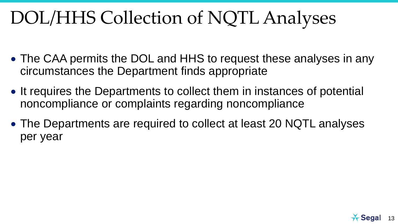### DOL/HHS Collection of NQTL Analyses

- The CAA permits the DOL and HHS to request these analyses in any circumstances the Department finds appropriate
- It requires the Departments to collect them in instances of potential noncompliance or complaints regarding noncompliance
- The Departments are required to collect at least 20 NQTL analyses per year

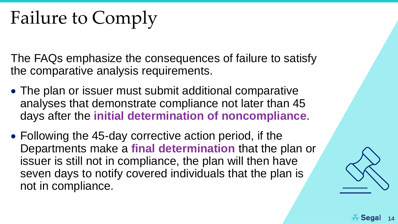## Failure to Comply

The FAQs emphasize the consequences of failure to satisfy the comparative analysis requirements.

- The plan or issuer must submit additional comparative analyses that demonstrate compliance not later than 45 days after the **initial determination of noncompliance**.
- Following the 45-day corrective action period, if the Departments make a **final determination** that the plan or issuer is still not in compliance, the plan will then have seven days to notify covered individuals that the plan is not in compliance.

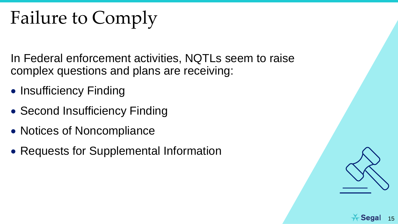## Failure to Comply

In Federal enforcement activities, NQTLs seem to raise complex questions and plans are receiving:

- Insufficiency Finding
- Second Insufficiency Finding
- Notices of Noncompliance
- Requests for Supplemental Information

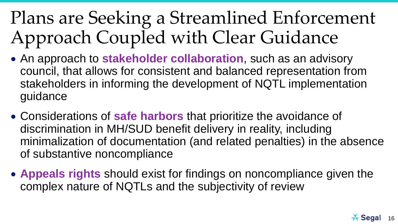### Plans are Seeking a Streamlined Enforcement Approach Coupled with Clear Guidance

- An approach to **stakeholder collaboration**, such as an advisory council, that allows for consistent and balanced representation from stakeholders in informing the development of NQTL implementation guidance
- Considerations of **safe harbors** that prioritize the avoidance of discrimination in MH/SUD benefit delivery in reality, including minimalization of documentation (and related penalties) in the absence of substantive noncompliance
- **Appeals rights** should exist for findings on noncompliance given the complex nature of NQTLs and the subjectivity of review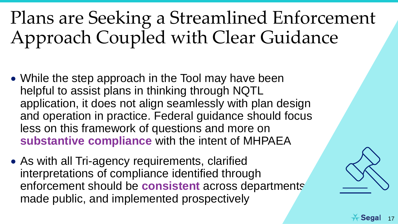## Plans are Seeking a Streamlined Enforcement Approach Coupled with Clear Guidance

- While the step approach in the Tool may have been helpful to assist plans in thinking through NQTL application, it does not align seamlessly with plan design and operation in practice. Federal guidance should focus less on this framework of questions and more on **substantive compliance** with the intent of MHPAEA
- As with all Tri-agency requirements, clarified interpretations of compliance identified through enforcement should be **consistent** across departments, made public, and implemented prospectively

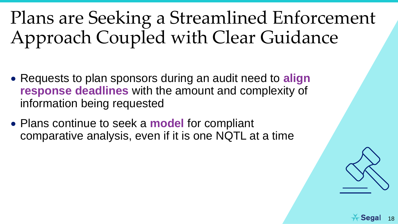## Plans are Seeking a Streamlined Enforcement Approach Coupled with Clear Guidance

- Requests to plan sponsors during an audit need to **align response deadlines** with the amount and complexity of information being requested
- Plans continue to seek a **model** for compliant comparative analysis, even if it is one NQTL at a time



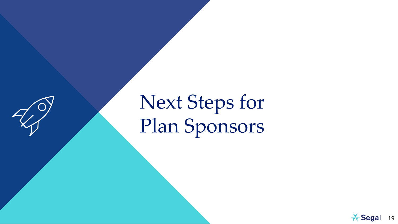

# Next Steps for Plan Sponsors

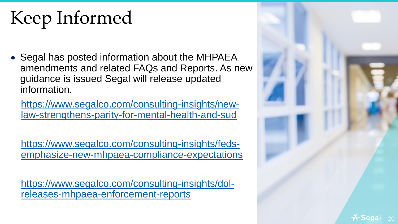# Keep Informed

• Segal has posted information about the MHPAEA amendments and related FAQs and Reports. As new guidance is issued Segal will release updated information.

https://www.segalco.com/consulting-insights/new[law-strengthens-parity-for-mental-health-and-sud](https://www.segalco.com/consulting-insights/new-law-strengthens-parity-for-mental-health-and-sud)

https://www.segalco.com/consulting-insights/feds[emphasize-new-mhpaea-compliance-expectations](https://www.segalco.com/consulting-insights/feds-emphasize-new-mhpaea-compliance-expectations)

[https://www.segalco.com/consulting-insights/dol](https://www.segalco.com/consulting-insights/dol-releases-mhpaea-enforcement-reports)releases-mhpaea-enforcement-reports

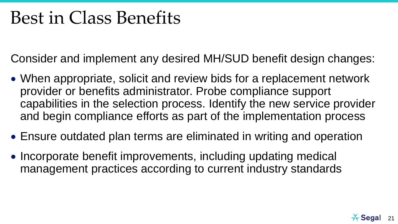### Best in Class Benefits

Consider and implement any desired MH/SUD benefit design changes:

- When appropriate, solicit and review bids for a replacement network provider or benefits administrator. Probe compliance support capabilities in the selection process. Identify the new service provider and begin compliance efforts as part of the implementation process
- Ensure outdated plan terms are eliminated in writing and operation
- Incorporate benefit improvements, including updating medical management practices according to current industry standards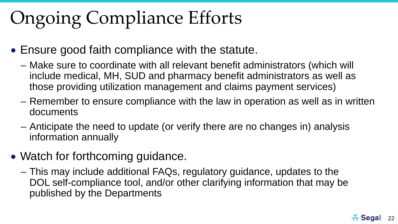# Ongoing Compliance Efforts

- Ensure good faith compliance with the statute.
	- Make sure to coordinate with all relevant benefit administrators (which will include medical, MH, SUD and pharmacy benefit administrators as well as those providing utilization management and claims payment services)
	- Remember to ensure compliance with the law in operation as well as in written documents
	- Anticipate the need to update (or verify there are no changes in) analysis information annually
- Watch for forthcoming guidance.
	- This may include additional FAQs, regulatory guidance, updates to the DOL self-compliance tool, and/or other clarifying information that may be published by the Departments